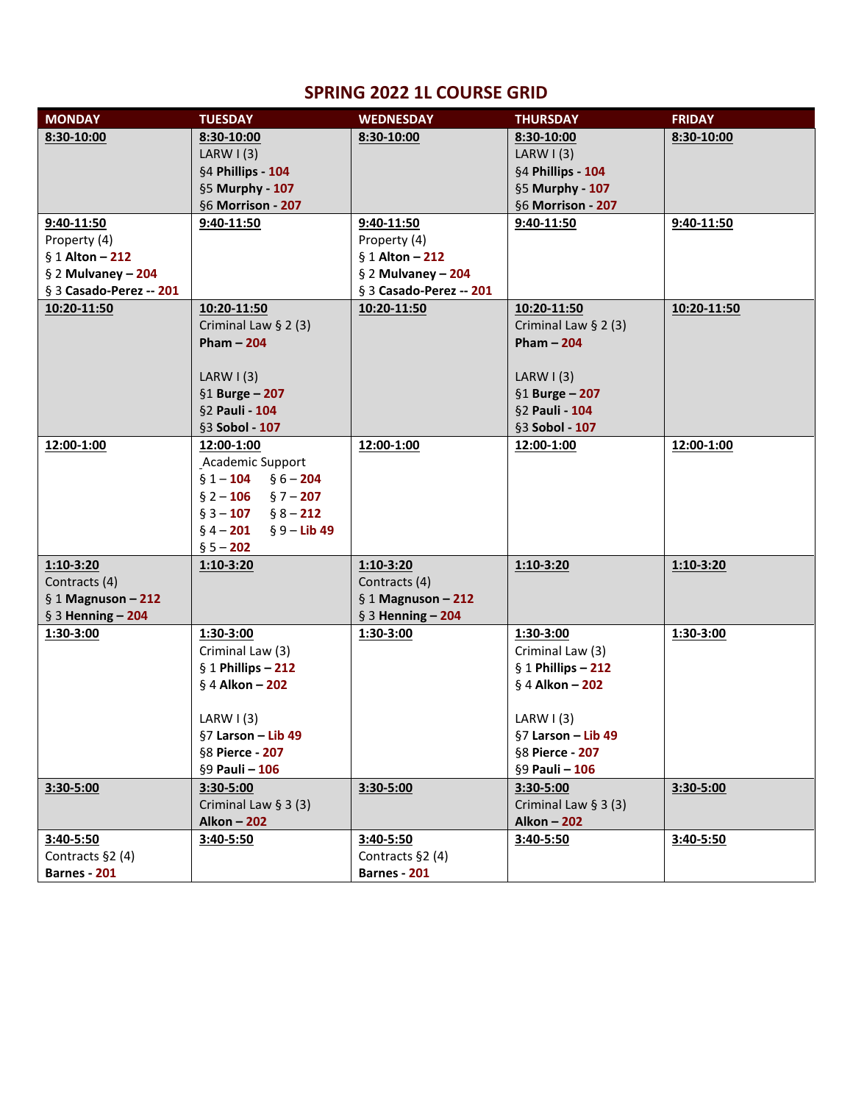## **SPRING 2022 1L COURSE GRID**

| 8:30-10:00<br>8:30-10:00<br>8:30-10:00<br>8:30-10:00<br>8:30-10:00<br>LARW $(3)$<br>LARW $\vert$ (3)<br>§4 Phillips - 104<br>§4 Phillips - 104<br>§5 Murphy - 107<br>§5 Murphy - 107<br>§6 Morrison - 207<br>§6 Morrison - 207<br>$9:40-11:50$<br>$9:40 - 11:50$<br>$9:40 - 11:50$<br>$9:40 - 11:50$<br>9:40-11:50<br>Property (4)<br>Property (4)<br>$§ 1$ Alton - 212<br>$§ 1$ Alton - 212<br>§ 2 Mulvaney $-204$<br>$§$ 2 Mulvaney - 204<br>§ 3 Casado-Perez -- 201<br>§ 3 Casado-Perez -- 201<br>10:20-11:50<br>10:20-11:50<br>10:20-11:50<br>10:20-11:50<br>10:20-11:50<br>Criminal Law $\S$ 2 (3)<br>Criminal Law $\S$ 2 (3)<br>Pham $-204$<br>Pham $-204$<br>LARW $(3)$<br>LARW $\vert$ (3)<br>§1 Burge $-207$<br>$§1$ Burge - 207<br>§2 Pauli - 104<br>§2 Pauli - 104<br>§3 Sobol - 107<br>§3 Sobol - 107<br>12:00-1:00<br>12:00-1:00<br>12:00-1:00<br>12:00-1:00<br>12:00-1:00<br>Academic Support<br>$§ 1 - 104$ $§ 6 - 204$<br>$§ 2 - 106$ $§ 7 - 207$<br>$§ 3 - 107$ $§ 8 - 212$<br>$§$ 4 - 201<br>$\S 9 -$ Lib 49<br>$§ 5 - 202$<br>$1:10-3:20$<br>$1:10-3:20$<br>1:10-3:20<br>$1:10-3:20$<br>$1:10-3:20$<br>Contracts (4)<br>Contracts (4)<br>$§ 1$ Magnuson - 212<br>$§ 1$ Magnuson - 212<br>$§$ 3 Henning - 204<br>$§$ 3 Henning - 204<br>1:30-3:00<br>1:30-3:00<br>1:30-3:00<br>1:30-3:00<br>1:30-3:00<br>Criminal Law (3)<br>Criminal Law (3)<br>$§ 1$ Phillips - 212<br>$§ 1$ Phillips - 212<br>$§$ 4 Alkon - 202<br>$§$ 4 Alkon - 202<br>LARW $\vert$ (3)<br>LARW $\vert$ (3)<br>$§7$ Larson - Lib 49<br>§7 Larson – Lib 49<br>§8 Pierce - 207<br>§8 Pierce - 207<br>§9 Pauli - 106<br>§9 Pauli - 106<br>3:30-5:00<br>$3:30-5:00$<br>3:30-5:00<br>$3:30 - 5:00$<br>$3:30-5:00$<br>Criminal Law $§$ 3 (3)<br>Criminal Law $§ 3(3)$<br><b>Alkon - 202</b><br><b>Alkon - 202</b><br>3:40-5:50<br>3:40-5:50<br>$3:40-5:50$<br>$3:40 - 5:50$<br>$3:40-5:50$<br>Contracts §2 (4)<br>Contracts §2 (4)<br>Barnes - 201<br>Barnes - 201 | <b>MONDAY</b> | <b>TUESDAY</b> | <b>WEDNESDAY</b> | <b>THURSDAY</b> | <b>FRIDAY</b> |
|----------------------------------------------------------------------------------------------------------------------------------------------------------------------------------------------------------------------------------------------------------------------------------------------------------------------------------------------------------------------------------------------------------------------------------------------------------------------------------------------------------------------------------------------------------------------------------------------------------------------------------------------------------------------------------------------------------------------------------------------------------------------------------------------------------------------------------------------------------------------------------------------------------------------------------------------------------------------------------------------------------------------------------------------------------------------------------------------------------------------------------------------------------------------------------------------------------------------------------------------------------------------------------------------------------------------------------------------------------------------------------------------------------------------------------------------------------------------------------------------------------------------------------------------------------------------------------------------------------------------------------------------------------------------------------------------------------------------------------------------------------------------------------------------------------------------------------------------------------------------------------------------------------------------------------------------------|---------------|----------------|------------------|-----------------|---------------|
|                                                                                                                                                                                                                                                                                                                                                                                                                                                                                                                                                                                                                                                                                                                                                                                                                                                                                                                                                                                                                                                                                                                                                                                                                                                                                                                                                                                                                                                                                                                                                                                                                                                                                                                                                                                                                                                                                                                                                    |               |                |                  |                 |               |
|                                                                                                                                                                                                                                                                                                                                                                                                                                                                                                                                                                                                                                                                                                                                                                                                                                                                                                                                                                                                                                                                                                                                                                                                                                                                                                                                                                                                                                                                                                                                                                                                                                                                                                                                                                                                                                                                                                                                                    |               |                |                  |                 |               |
|                                                                                                                                                                                                                                                                                                                                                                                                                                                                                                                                                                                                                                                                                                                                                                                                                                                                                                                                                                                                                                                                                                                                                                                                                                                                                                                                                                                                                                                                                                                                                                                                                                                                                                                                                                                                                                                                                                                                                    |               |                |                  |                 |               |
|                                                                                                                                                                                                                                                                                                                                                                                                                                                                                                                                                                                                                                                                                                                                                                                                                                                                                                                                                                                                                                                                                                                                                                                                                                                                                                                                                                                                                                                                                                                                                                                                                                                                                                                                                                                                                                                                                                                                                    |               |                |                  |                 |               |
|                                                                                                                                                                                                                                                                                                                                                                                                                                                                                                                                                                                                                                                                                                                                                                                                                                                                                                                                                                                                                                                                                                                                                                                                                                                                                                                                                                                                                                                                                                                                                                                                                                                                                                                                                                                                                                                                                                                                                    |               |                |                  |                 |               |
|                                                                                                                                                                                                                                                                                                                                                                                                                                                                                                                                                                                                                                                                                                                                                                                                                                                                                                                                                                                                                                                                                                                                                                                                                                                                                                                                                                                                                                                                                                                                                                                                                                                                                                                                                                                                                                                                                                                                                    |               |                |                  |                 |               |
|                                                                                                                                                                                                                                                                                                                                                                                                                                                                                                                                                                                                                                                                                                                                                                                                                                                                                                                                                                                                                                                                                                                                                                                                                                                                                                                                                                                                                                                                                                                                                                                                                                                                                                                                                                                                                                                                                                                                                    |               |                |                  |                 |               |
|                                                                                                                                                                                                                                                                                                                                                                                                                                                                                                                                                                                                                                                                                                                                                                                                                                                                                                                                                                                                                                                                                                                                                                                                                                                                                                                                                                                                                                                                                                                                                                                                                                                                                                                                                                                                                                                                                                                                                    |               |                |                  |                 |               |
|                                                                                                                                                                                                                                                                                                                                                                                                                                                                                                                                                                                                                                                                                                                                                                                                                                                                                                                                                                                                                                                                                                                                                                                                                                                                                                                                                                                                                                                                                                                                                                                                                                                                                                                                                                                                                                                                                                                                                    |               |                |                  |                 |               |
|                                                                                                                                                                                                                                                                                                                                                                                                                                                                                                                                                                                                                                                                                                                                                                                                                                                                                                                                                                                                                                                                                                                                                                                                                                                                                                                                                                                                                                                                                                                                                                                                                                                                                                                                                                                                                                                                                                                                                    |               |                |                  |                 |               |
|                                                                                                                                                                                                                                                                                                                                                                                                                                                                                                                                                                                                                                                                                                                                                                                                                                                                                                                                                                                                                                                                                                                                                                                                                                                                                                                                                                                                                                                                                                                                                                                                                                                                                                                                                                                                                                                                                                                                                    |               |                |                  |                 |               |
|                                                                                                                                                                                                                                                                                                                                                                                                                                                                                                                                                                                                                                                                                                                                                                                                                                                                                                                                                                                                                                                                                                                                                                                                                                                                                                                                                                                                                                                                                                                                                                                                                                                                                                                                                                                                                                                                                                                                                    |               |                |                  |                 |               |
|                                                                                                                                                                                                                                                                                                                                                                                                                                                                                                                                                                                                                                                                                                                                                                                                                                                                                                                                                                                                                                                                                                                                                                                                                                                                                                                                                                                                                                                                                                                                                                                                                                                                                                                                                                                                                                                                                                                                                    |               |                |                  |                 |               |
|                                                                                                                                                                                                                                                                                                                                                                                                                                                                                                                                                                                                                                                                                                                                                                                                                                                                                                                                                                                                                                                                                                                                                                                                                                                                                                                                                                                                                                                                                                                                                                                                                                                                                                                                                                                                                                                                                                                                                    |               |                |                  |                 |               |
|                                                                                                                                                                                                                                                                                                                                                                                                                                                                                                                                                                                                                                                                                                                                                                                                                                                                                                                                                                                                                                                                                                                                                                                                                                                                                                                                                                                                                                                                                                                                                                                                                                                                                                                                                                                                                                                                                                                                                    |               |                |                  |                 |               |
|                                                                                                                                                                                                                                                                                                                                                                                                                                                                                                                                                                                                                                                                                                                                                                                                                                                                                                                                                                                                                                                                                                                                                                                                                                                                                                                                                                                                                                                                                                                                                                                                                                                                                                                                                                                                                                                                                                                                                    |               |                |                  |                 |               |
|                                                                                                                                                                                                                                                                                                                                                                                                                                                                                                                                                                                                                                                                                                                                                                                                                                                                                                                                                                                                                                                                                                                                                                                                                                                                                                                                                                                                                                                                                                                                                                                                                                                                                                                                                                                                                                                                                                                                                    |               |                |                  |                 |               |
|                                                                                                                                                                                                                                                                                                                                                                                                                                                                                                                                                                                                                                                                                                                                                                                                                                                                                                                                                                                                                                                                                                                                                                                                                                                                                                                                                                                                                                                                                                                                                                                                                                                                                                                                                                                                                                                                                                                                                    |               |                |                  |                 |               |
|                                                                                                                                                                                                                                                                                                                                                                                                                                                                                                                                                                                                                                                                                                                                                                                                                                                                                                                                                                                                                                                                                                                                                                                                                                                                                                                                                                                                                                                                                                                                                                                                                                                                                                                                                                                                                                                                                                                                                    |               |                |                  |                 |               |
|                                                                                                                                                                                                                                                                                                                                                                                                                                                                                                                                                                                                                                                                                                                                                                                                                                                                                                                                                                                                                                                                                                                                                                                                                                                                                                                                                                                                                                                                                                                                                                                                                                                                                                                                                                                                                                                                                                                                                    |               |                |                  |                 |               |
|                                                                                                                                                                                                                                                                                                                                                                                                                                                                                                                                                                                                                                                                                                                                                                                                                                                                                                                                                                                                                                                                                                                                                                                                                                                                                                                                                                                                                                                                                                                                                                                                                                                                                                                                                                                                                                                                                                                                                    |               |                |                  |                 |               |
|                                                                                                                                                                                                                                                                                                                                                                                                                                                                                                                                                                                                                                                                                                                                                                                                                                                                                                                                                                                                                                                                                                                                                                                                                                                                                                                                                                                                                                                                                                                                                                                                                                                                                                                                                                                                                                                                                                                                                    |               |                |                  |                 |               |
|                                                                                                                                                                                                                                                                                                                                                                                                                                                                                                                                                                                                                                                                                                                                                                                                                                                                                                                                                                                                                                                                                                                                                                                                                                                                                                                                                                                                                                                                                                                                                                                                                                                                                                                                                                                                                                                                                                                                                    |               |                |                  |                 |               |
|                                                                                                                                                                                                                                                                                                                                                                                                                                                                                                                                                                                                                                                                                                                                                                                                                                                                                                                                                                                                                                                                                                                                                                                                                                                                                                                                                                                                                                                                                                                                                                                                                                                                                                                                                                                                                                                                                                                                                    |               |                |                  |                 |               |
|                                                                                                                                                                                                                                                                                                                                                                                                                                                                                                                                                                                                                                                                                                                                                                                                                                                                                                                                                                                                                                                                                                                                                                                                                                                                                                                                                                                                                                                                                                                                                                                                                                                                                                                                                                                                                                                                                                                                                    |               |                |                  |                 |               |
|                                                                                                                                                                                                                                                                                                                                                                                                                                                                                                                                                                                                                                                                                                                                                                                                                                                                                                                                                                                                                                                                                                                                                                                                                                                                                                                                                                                                                                                                                                                                                                                                                                                                                                                                                                                                                                                                                                                                                    |               |                |                  |                 |               |
|                                                                                                                                                                                                                                                                                                                                                                                                                                                                                                                                                                                                                                                                                                                                                                                                                                                                                                                                                                                                                                                                                                                                                                                                                                                                                                                                                                                                                                                                                                                                                                                                                                                                                                                                                                                                                                                                                                                                                    |               |                |                  |                 |               |
|                                                                                                                                                                                                                                                                                                                                                                                                                                                                                                                                                                                                                                                                                                                                                                                                                                                                                                                                                                                                                                                                                                                                                                                                                                                                                                                                                                                                                                                                                                                                                                                                                                                                                                                                                                                                                                                                                                                                                    |               |                |                  |                 |               |
|                                                                                                                                                                                                                                                                                                                                                                                                                                                                                                                                                                                                                                                                                                                                                                                                                                                                                                                                                                                                                                                                                                                                                                                                                                                                                                                                                                                                                                                                                                                                                                                                                                                                                                                                                                                                                                                                                                                                                    |               |                |                  |                 |               |
|                                                                                                                                                                                                                                                                                                                                                                                                                                                                                                                                                                                                                                                                                                                                                                                                                                                                                                                                                                                                                                                                                                                                                                                                                                                                                                                                                                                                                                                                                                                                                                                                                                                                                                                                                                                                                                                                                                                                                    |               |                |                  |                 |               |
|                                                                                                                                                                                                                                                                                                                                                                                                                                                                                                                                                                                                                                                                                                                                                                                                                                                                                                                                                                                                                                                                                                                                                                                                                                                                                                                                                                                                                                                                                                                                                                                                                                                                                                                                                                                                                                                                                                                                                    |               |                |                  |                 |               |
|                                                                                                                                                                                                                                                                                                                                                                                                                                                                                                                                                                                                                                                                                                                                                                                                                                                                                                                                                                                                                                                                                                                                                                                                                                                                                                                                                                                                                                                                                                                                                                                                                                                                                                                                                                                                                                                                                                                                                    |               |                |                  |                 |               |
|                                                                                                                                                                                                                                                                                                                                                                                                                                                                                                                                                                                                                                                                                                                                                                                                                                                                                                                                                                                                                                                                                                                                                                                                                                                                                                                                                                                                                                                                                                                                                                                                                                                                                                                                                                                                                                                                                                                                                    |               |                |                  |                 |               |
|                                                                                                                                                                                                                                                                                                                                                                                                                                                                                                                                                                                                                                                                                                                                                                                                                                                                                                                                                                                                                                                                                                                                                                                                                                                                                                                                                                                                                                                                                                                                                                                                                                                                                                                                                                                                                                                                                                                                                    |               |                |                  |                 |               |
|                                                                                                                                                                                                                                                                                                                                                                                                                                                                                                                                                                                                                                                                                                                                                                                                                                                                                                                                                                                                                                                                                                                                                                                                                                                                                                                                                                                                                                                                                                                                                                                                                                                                                                                                                                                                                                                                                                                                                    |               |                |                  |                 |               |
|                                                                                                                                                                                                                                                                                                                                                                                                                                                                                                                                                                                                                                                                                                                                                                                                                                                                                                                                                                                                                                                                                                                                                                                                                                                                                                                                                                                                                                                                                                                                                                                                                                                                                                                                                                                                                                                                                                                                                    |               |                |                  |                 |               |
|                                                                                                                                                                                                                                                                                                                                                                                                                                                                                                                                                                                                                                                                                                                                                                                                                                                                                                                                                                                                                                                                                                                                                                                                                                                                                                                                                                                                                                                                                                                                                                                                                                                                                                                                                                                                                                                                                                                                                    |               |                |                  |                 |               |
|                                                                                                                                                                                                                                                                                                                                                                                                                                                                                                                                                                                                                                                                                                                                                                                                                                                                                                                                                                                                                                                                                                                                                                                                                                                                                                                                                                                                                                                                                                                                                                                                                                                                                                                                                                                                                                                                                                                                                    |               |                |                  |                 |               |
|                                                                                                                                                                                                                                                                                                                                                                                                                                                                                                                                                                                                                                                                                                                                                                                                                                                                                                                                                                                                                                                                                                                                                                                                                                                                                                                                                                                                                                                                                                                                                                                                                                                                                                                                                                                                                                                                                                                                                    |               |                |                  |                 |               |
|                                                                                                                                                                                                                                                                                                                                                                                                                                                                                                                                                                                                                                                                                                                                                                                                                                                                                                                                                                                                                                                                                                                                                                                                                                                                                                                                                                                                                                                                                                                                                                                                                                                                                                                                                                                                                                                                                                                                                    |               |                |                  |                 |               |
|                                                                                                                                                                                                                                                                                                                                                                                                                                                                                                                                                                                                                                                                                                                                                                                                                                                                                                                                                                                                                                                                                                                                                                                                                                                                                                                                                                                                                                                                                                                                                                                                                                                                                                                                                                                                                                                                                                                                                    |               |                |                  |                 |               |
|                                                                                                                                                                                                                                                                                                                                                                                                                                                                                                                                                                                                                                                                                                                                                                                                                                                                                                                                                                                                                                                                                                                                                                                                                                                                                                                                                                                                                                                                                                                                                                                                                                                                                                                                                                                                                                                                                                                                                    |               |                |                  |                 |               |
|                                                                                                                                                                                                                                                                                                                                                                                                                                                                                                                                                                                                                                                                                                                                                                                                                                                                                                                                                                                                                                                                                                                                                                                                                                                                                                                                                                                                                                                                                                                                                                                                                                                                                                                                                                                                                                                                                                                                                    |               |                |                  |                 |               |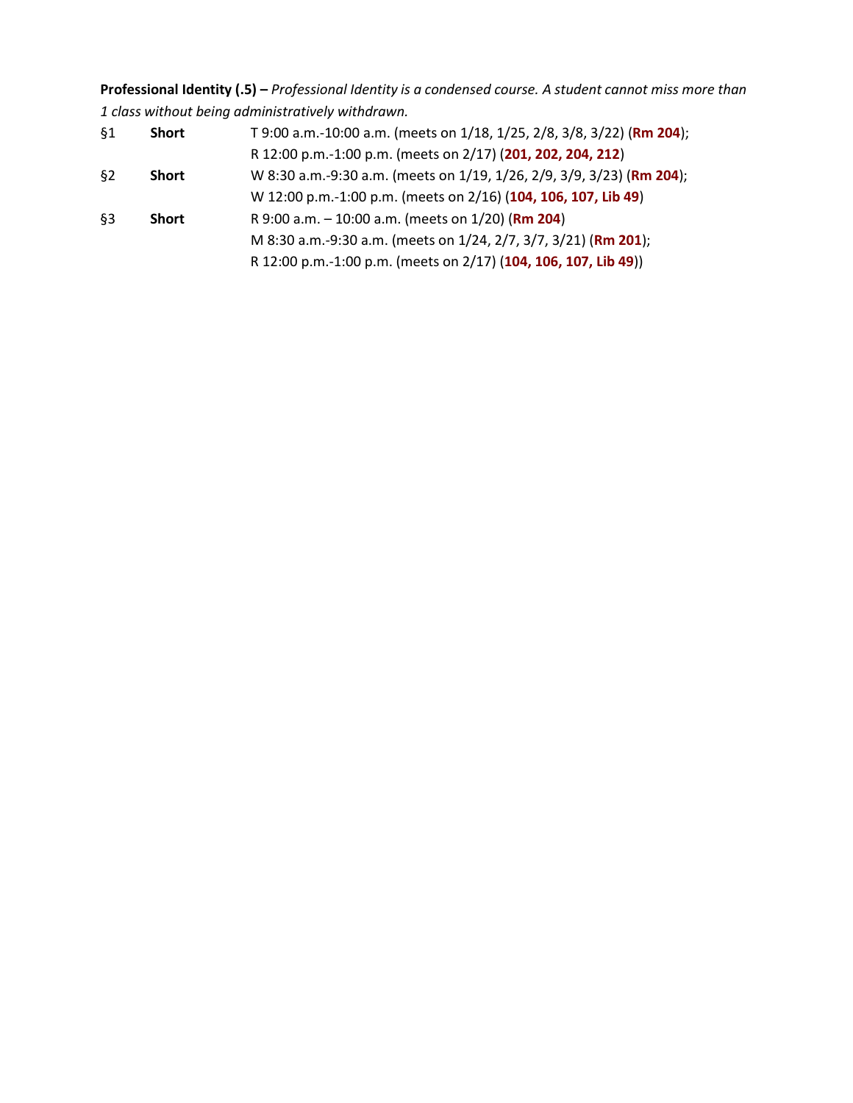**Professional Identity (.5) –** *Professional Identity is a condensed course. A student cannot miss more than 1 class without being administratively withdrawn.*

| §1    | <b>Short</b> | T 9:00 a.m.-10:00 a.m. (meets on 1/18, 1/25, 2/8, 3/8, 3/22) (Rm 204); |
|-------|--------------|------------------------------------------------------------------------|
|       |              | R 12:00 p.m.-1:00 p.m. (meets on 2/17) (201, 202, 204, 212)            |
| $\S2$ | <b>Short</b> | W 8:30 a.m.-9:30 a.m. (meets on 1/19, 1/26, 2/9, 3/9, 3/23) (Rm 204);  |
|       |              | W 12:00 p.m.-1:00 p.m. (meets on 2/16) (104, 106, 107, Lib 49)         |
| §3    | <b>Short</b> | R 9:00 a.m. $-$ 10:00 a.m. (meets on 1/20) (Rm 204)                    |
|       |              | M 8:30 a.m.-9:30 a.m. (meets on 1/24, 2/7, 3/7, 3/21) (Rm 201);        |
|       |              | R 12:00 p.m.-1:00 p.m. (meets on 2/17) (104, 106, 107, Lib 49))        |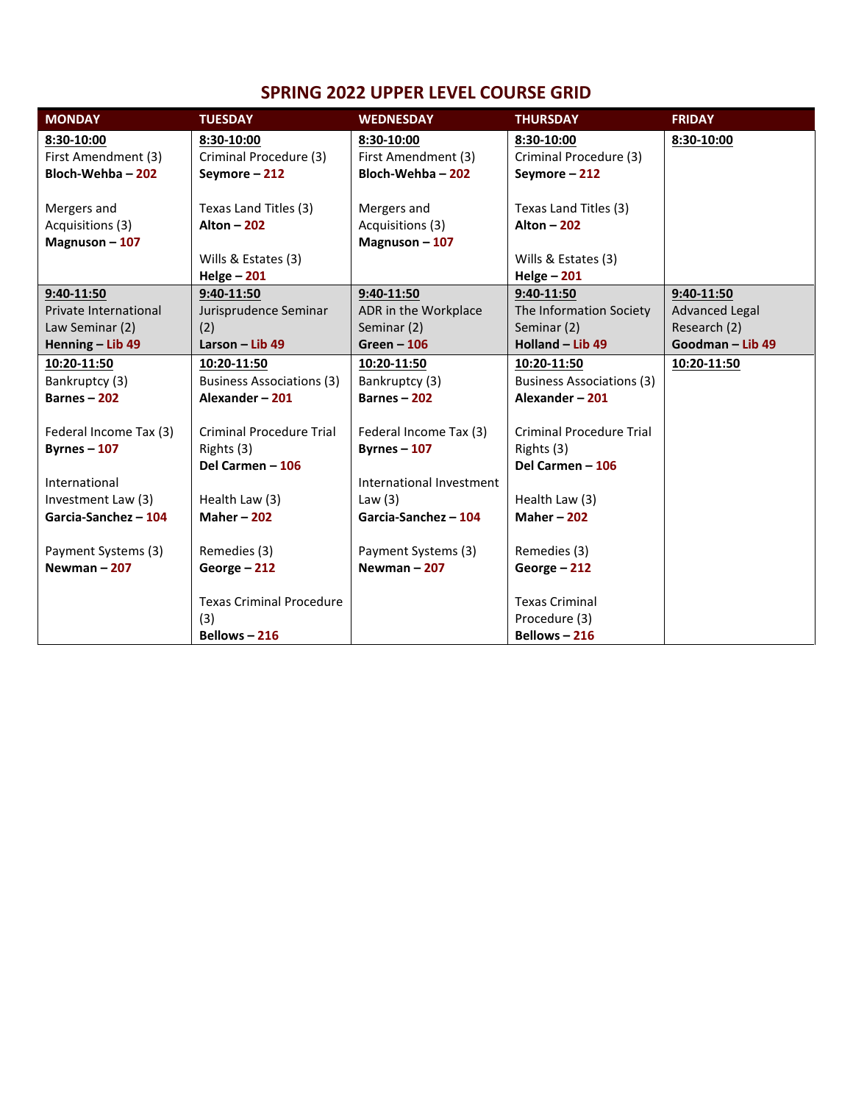## **SPRING 2022 UPPER LEVEL COURSE GRID**

| <b>MONDAY</b>          | <b>TUESDAY</b>                   | <b>WEDNESDAY</b>         | <b>THURSDAY</b>                  | <b>FRIDAY</b>         |
|------------------------|----------------------------------|--------------------------|----------------------------------|-----------------------|
| 8:30-10:00             | 8:30-10:00                       | 8:30-10:00               | 8:30-10:00                       | 8:30-10:00            |
| First Amendment (3)    | Criminal Procedure (3)           | First Amendment (3)      | Criminal Procedure (3)           |                       |
| Bloch-Wehba-202        | Seymore-212                      | Bloch-Wehba - 202        | Seymore-212                      |                       |
|                        |                                  |                          |                                  |                       |
| Mergers and            | Texas Land Titles (3)            | Mergers and              | Texas Land Titles (3)            |                       |
| Acquisitions (3)       | <b>Alton - 202</b>               | Acquisitions (3)         | <b>Alton - 202</b>               |                       |
| Magnuson-107           |                                  | Magnuson-107             |                                  |                       |
|                        | Wills & Estates (3)              |                          | Wills & Estates (3)              |                       |
|                        | $Helge - 201$                    |                          | $Helge - 201$                    |                       |
| 9:40-11:50             | 9:40-11:50                       | 9:40-11:50               | 9:40-11:50                       | 9:40-11:50            |
| Private International  | Jurisprudence Seminar            | ADR in the Workplace     | The Information Society          | <b>Advanced Legal</b> |
| Law Seminar (2)        | (2)                              | Seminar (2)              | Seminar (2)                      | Research (2)          |
| Henning - Lib 49       | Larson - Lib 49                  | $Green - 106$            | Holland - Lib 49                 | Goodman - Lib 49      |
| 10:20-11:50            | 10:20-11:50                      | 10:20-11:50              | 10:20-11:50                      | 10:20-11:50           |
| Bankruptcy (3)         | <b>Business Associations (3)</b> | Bankruptcy (3)           | <b>Business Associations (3)</b> |                       |
| Barnes $-202$          | Alexander-201                    | Barnes $-202$            | Alexander-201                    |                       |
|                        |                                  |                          |                                  |                       |
| Federal Income Tax (3) | <b>Criminal Procedure Trial</b>  | Federal Income Tax (3)   | <b>Criminal Procedure Trial</b>  |                       |
| Byrnes $-107$          | Rights (3)                       | Byrnes $-107$            | Rights (3)                       |                       |
|                        | Del Carmen - 106                 |                          | Del Carmen - 106                 |                       |
| International          |                                  | International Investment |                                  |                       |
| Investment Law (3)     | Health Law (3)                   | Law $(3)$                | Health Law (3)                   |                       |
| Garcia-Sanchez - 104   | <b>Maher-202</b>                 | Garcia-Sanchez - 104     | <b>Maher-202</b>                 |                       |
| Payment Systems (3)    | Remedies (3)                     | Payment Systems (3)      | Remedies (3)                     |                       |
| Newman-207             | George - 212                     | Newman $-207$            | George - 212                     |                       |
|                        |                                  |                          |                                  |                       |
|                        | <b>Texas Criminal Procedure</b>  |                          | <b>Texas Criminal</b>            |                       |
|                        | (3)                              |                          | Procedure (3)                    |                       |
|                        | Bellows $-216$                   |                          | Bellows $-216$                   |                       |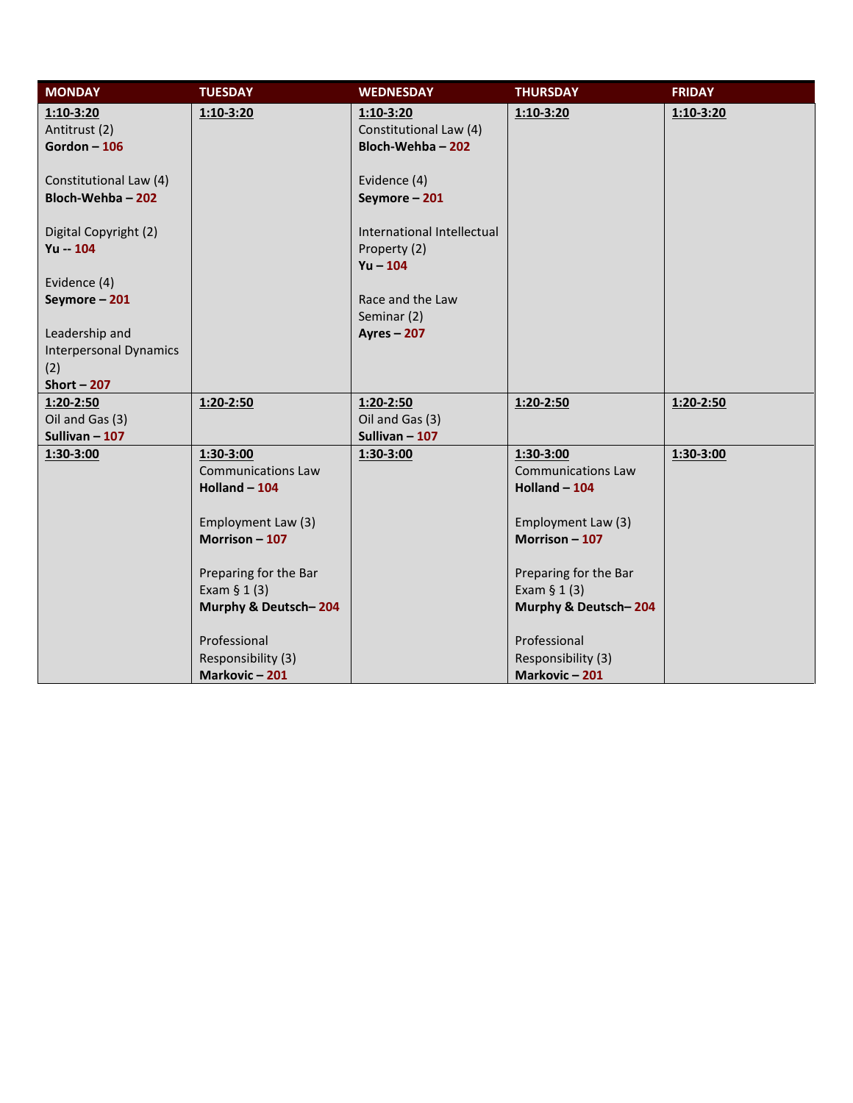| <b>MONDAY</b><br><b>TUESDAY</b> |                           | <b>WEDNESDAY</b>           | <b>THURSDAY</b>           | <b>FRIDAY</b> |
|---------------------------------|---------------------------|----------------------------|---------------------------|---------------|
| $1:10-3:20$<br>$1:10-3:20$      |                           | $1:10-3:20$                | $1:10-3:20$               | $1:10-3:20$   |
| Antitrust (2)                   |                           | Constitutional Law (4)     |                           |               |
| Gordon $-106$                   |                           | Bloch-Wehba-202            |                           |               |
|                                 |                           |                            |                           |               |
| Constitutional Law (4)          |                           | Evidence (4)               |                           |               |
| Bloch-Wehba-202                 |                           | Seymore-201                |                           |               |
| Digital Copyright (2)           |                           | International Intellectual |                           |               |
| $Yu - 104$                      |                           | Property (2)               |                           |               |
|                                 |                           | $Yu - 104$                 |                           |               |
| Evidence (4)                    |                           |                            |                           |               |
| Seymore-201                     |                           | Race and the Law           |                           |               |
|                                 |                           | Seminar (2)                |                           |               |
| Leadership and                  |                           | <b>Ayres - 207</b>         |                           |               |
| <b>Interpersonal Dynamics</b>   |                           |                            |                           |               |
| (2)                             |                           |                            |                           |               |
| Short $-207$                    |                           |                            |                           |               |
| 1:20-2:50<br>1:20-2:50          |                           | $1:20-2:50$                | $1:20-2:50$               | $1:20-2:50$   |
| Oil and Gas (3)                 |                           | Oil and Gas (3)            |                           |               |
| Sullivan $-107$                 |                           | Sullivan $-107$            |                           |               |
| 1:30-3:00<br>1:30-3:00          |                           | 1:30-3:00                  | 1:30-3:00                 | 1:30-3:00     |
|                                 | <b>Communications Law</b> |                            | <b>Communications Law</b> |               |
|                                 | Holland $-104$            |                            | Holland $-104$            |               |
|                                 |                           |                            |                           |               |
|                                 | Employment Law (3)        |                            | Employment Law (3)        |               |
|                                 | Morrison $-107$           |                            | Morrison $-107$           |               |
|                                 |                           |                            |                           |               |
|                                 | Preparing for the Bar     |                            | Preparing for the Bar     |               |
| Exam $§ 1(3)$                   |                           |                            | Exam $§ 1(3)$             |               |
|                                 | Murphy & Deutsch-204      |                            | Murphy & Deutsch-204      |               |
| Professional                    |                           |                            | Professional              |               |
|                                 | Responsibility (3)        |                            | Responsibility (3)        |               |
| Markovic-201                    |                           |                            | Markovic-201              |               |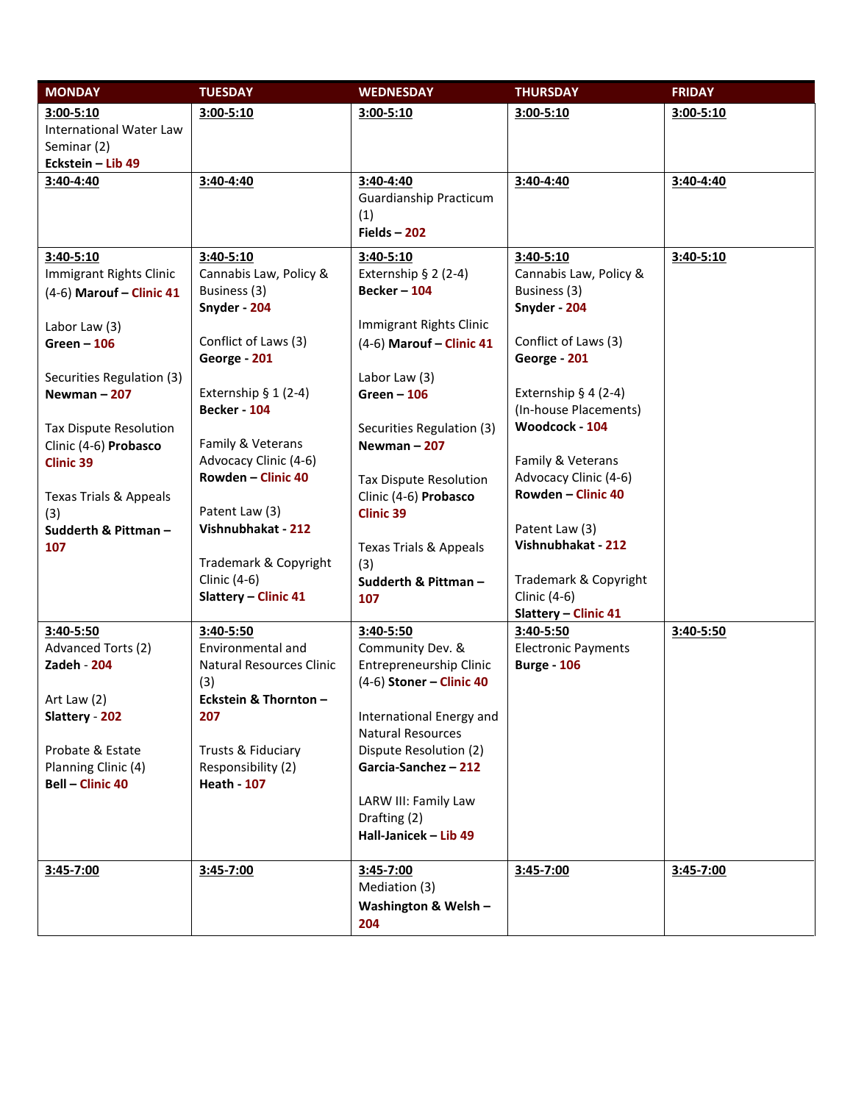| <b>MONDAY</b>                     | <b>TUESDAY</b>                  | <b>WEDNESDAY</b>                  | <b>THURSDAY</b>            | <b>FRIDAY</b> |
|-----------------------------------|---------------------------------|-----------------------------------|----------------------------|---------------|
| $3:00 - 5:10$                     | $3:00 - 5:10$                   | $3:00 - 5:10$                     | $3:00 - 5:10$              | 3:00-5:10     |
| <b>International Water Law</b>    |                                 |                                   |                            |               |
| Seminar (2)                       |                                 |                                   |                            |               |
| Eckstein - Lib 49                 |                                 |                                   |                            |               |
| 3:40-4:40                         | 3:40-4:40                       | 3:40-4:40                         | 3:40-4:40                  | 3:40-4:40     |
|                                   |                                 | Guardianship Practicum            |                            |               |
|                                   |                                 | (1)                               |                            |               |
|                                   |                                 | Fields $-202$                     |                            |               |
| $3:40-5:10$                       | $3:40 - 5:10$                   | $3:40-5:10$                       | $3:40-5:10$                | 3:40-5:10     |
| Immigrant Rights Clinic           | Cannabis Law, Policy &          | Externship $§$ 2 (2-4)            | Cannabis Law, Policy &     |               |
| (4-6) Marouf - Clinic 41          | Business (3)                    | <b>Becker - 104</b>               | Business (3)               |               |
|                                   | Snyder - 204                    |                                   | Snyder - 204               |               |
| Labor Law (3)                     |                                 | Immigrant Rights Clinic           |                            |               |
| $Green - 106$                     | Conflict of Laws (3)            | (4-6) Marouf - Clinic 41          | Conflict of Laws (3)       |               |
|                                   | George - 201                    |                                   | George - 201               |               |
| Securities Regulation (3)         | Externship $§ 1 (2-4)$          | Labor Law (3)                     | Externship $§$ 4 (2-4)     |               |
| Newman $-207$                     | <b>Becker - 104</b>             | Green $-106$                      | (In-house Placements)      |               |
| Tax Dispute Resolution            |                                 | Securities Regulation (3)         | Woodcock - 104             |               |
| Clinic (4-6) Probasco             | Family & Veterans               | Newman $-207$                     |                            |               |
| <b>Clinic 39</b>                  | Advocacy Clinic (4-6)           |                                   | Family & Veterans          |               |
|                                   | Rowden - Clinic 40              | Tax Dispute Resolution            | Advocacy Clinic (4-6)      |               |
| <b>Texas Trials &amp; Appeals</b> |                                 | Clinic (4-6) Probasco             | Rowden - Clinic 40         |               |
| (3)                               | Patent Law (3)                  | <b>Clinic 39</b>                  |                            |               |
| Sudderth & Pittman-               | Vishnubhakat - 212              |                                   | Patent Law (3)             |               |
| 107                               |                                 | <b>Texas Trials &amp; Appeals</b> | Vishnubhakat - 212         |               |
|                                   | Trademark & Copyright           | (3)                               |                            |               |
|                                   | Clinic (4-6)                    | Sudderth & Pittman-               | Trademark & Copyright      |               |
|                                   | <b>Slattery - Clinic 41</b>     | 107                               | Clinic (4-6)               |               |
|                                   |                                 |                                   | Slattery - Clinic 41       |               |
| 3:40-5:50                         | 3:40-5:50                       | 3:40-5:50                         | $3:40-5:50$                | 3:40-5:50     |
| Advanced Torts (2)                | Environmental and               | Community Dev. &                  | <b>Electronic Payments</b> |               |
| <b>Zadeh - 204</b>                | <b>Natural Resources Clinic</b> | Entrepreneurship Clinic           | <b>Burge - 106</b>         |               |
|                                   | (3)                             | $(4-6)$ Stoner - Clinic 40        |                            |               |
| Art Law $(2)$<br>Slattery - 202   | Eckstein & Thornton -<br>207    | International Energy and          |                            |               |
|                                   |                                 | <b>Natural Resources</b>          |                            |               |
| Probate & Estate                  | Trusts & Fiduciary              | Dispute Resolution (2)            |                            |               |
| Planning Clinic (4)               | Responsibility (2)              | Garcia-Sanchez - 212              |                            |               |
| <b>Bell - Clinic 40</b>           | <b>Heath - 107</b>              |                                   |                            |               |
|                                   |                                 | LARW III: Family Law              |                            |               |
|                                   |                                 | Drafting (2)                      |                            |               |
|                                   |                                 | Hall-Janicek - Lib 49             |                            |               |
|                                   |                                 |                                   |                            |               |
| 3:45-7:00                         | 3:45-7:00                       | 3:45-7:00                         | 3:45-7:00                  | 3:45-7:00     |
|                                   |                                 | Mediation (3)                     |                            |               |
|                                   |                                 | Washington & Welsh -              |                            |               |
|                                   |                                 | 204                               |                            |               |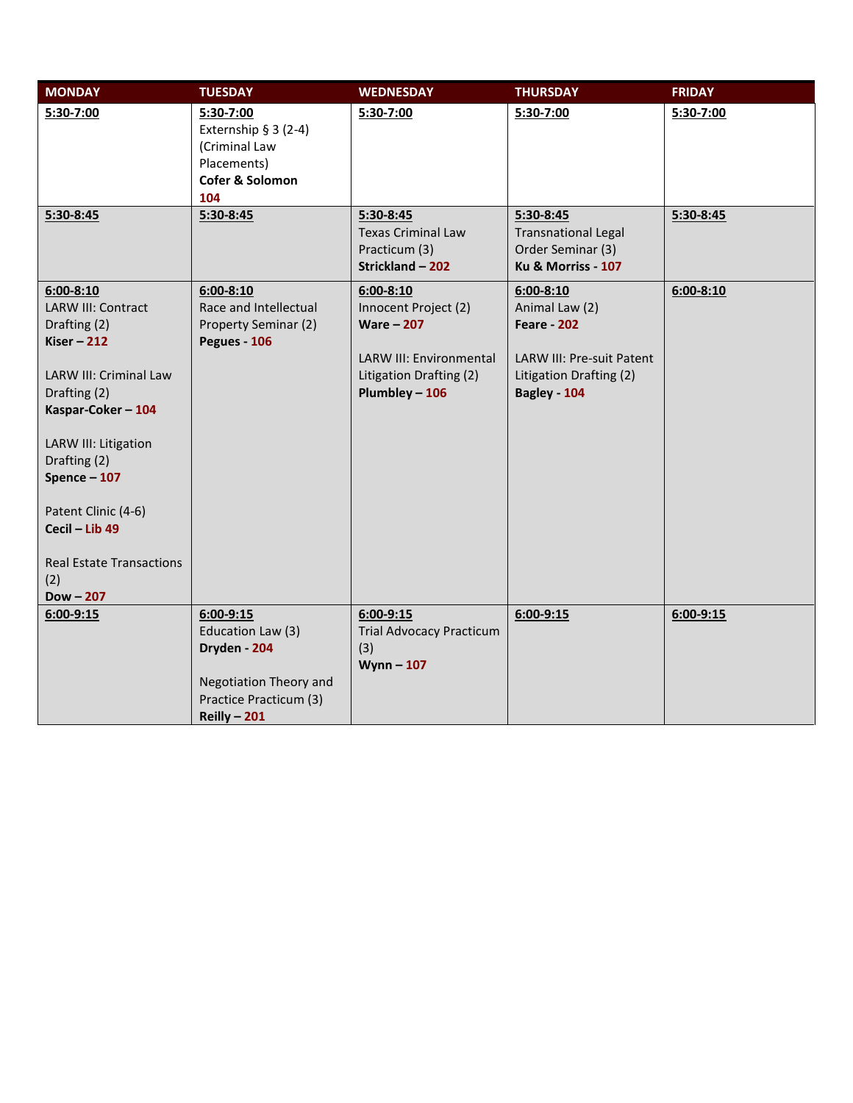| <b>MONDAY</b>                                                                                                                                                                                                                                                                                          | <b>TUESDAY</b>                                                                                                          | <b>WEDNESDAY</b>                                                                                                                            | <b>THURSDAY</b>                                                                                                               | <b>FRIDAY</b> |
|--------------------------------------------------------------------------------------------------------------------------------------------------------------------------------------------------------------------------------------------------------------------------------------------------------|-------------------------------------------------------------------------------------------------------------------------|---------------------------------------------------------------------------------------------------------------------------------------------|-------------------------------------------------------------------------------------------------------------------------------|---------------|
| 5:30-7:00                                                                                                                                                                                                                                                                                              | 5:30-7:00<br>Externship $§ 3 (2-4)$<br>(Criminal Law<br>Placements)<br>Cofer & Solomon<br>104                           | 5:30-7:00                                                                                                                                   | 5:30-7:00                                                                                                                     | 5:30-7:00     |
| 5:30-8:45                                                                                                                                                                                                                                                                                              | 5:30-8:45                                                                                                               | 5:30-8:45<br><b>Texas Criminal Law</b><br>Practicum (3)<br>Strickland - 202                                                                 | $5:30-8:45$<br><b>Transnational Legal</b><br>Order Seminar (3)<br>Ku & Morriss - 107                                          | $5:30-8:45$   |
| $6:00 - 8:10$<br><b>LARW III: Contract</b><br>Drafting (2)<br>Kiser $-212$<br>LARW III: Criminal Law<br>Drafting (2)<br>Kaspar-Coker - 104<br>LARW III: Litigation<br>Drafting (2)<br>Spence $-107$<br>Patent Clinic (4-6)<br>Cecil - Lib 49<br><b>Real Estate Transactions</b><br>(2)<br>$Down - 207$ | $6:00 - 8:10$<br>Race and Intellectual<br>Property Seminar (2)<br>Pegues - 106                                          | $6:00 - 8:10$<br>Innocent Project (2)<br><b>Ware - 207</b><br><b>LARW III: Environmental</b><br>Litigation Drafting (2)<br>$Plumbley - 106$ | $6:00 - 8:10$<br>Animal Law (2)<br><b>Feare - 202</b><br>LARW III: Pre-suit Patent<br>Litigation Drafting (2)<br>Bagley - 104 | $6:00 - 8:10$ |
| $6:00-9:15$                                                                                                                                                                                                                                                                                            | $6:00 - 9:15$<br>Education Law (3)<br>Dryden - 204<br>Negotiation Theory and<br>Practice Practicum (3)<br>Reilly $-201$ | $6:00 - 9:15$<br><b>Trial Advocacy Practicum</b><br>(3)<br>Wynn $-107$                                                                      | $6:00-9:15$                                                                                                                   | $6:00-9:15$   |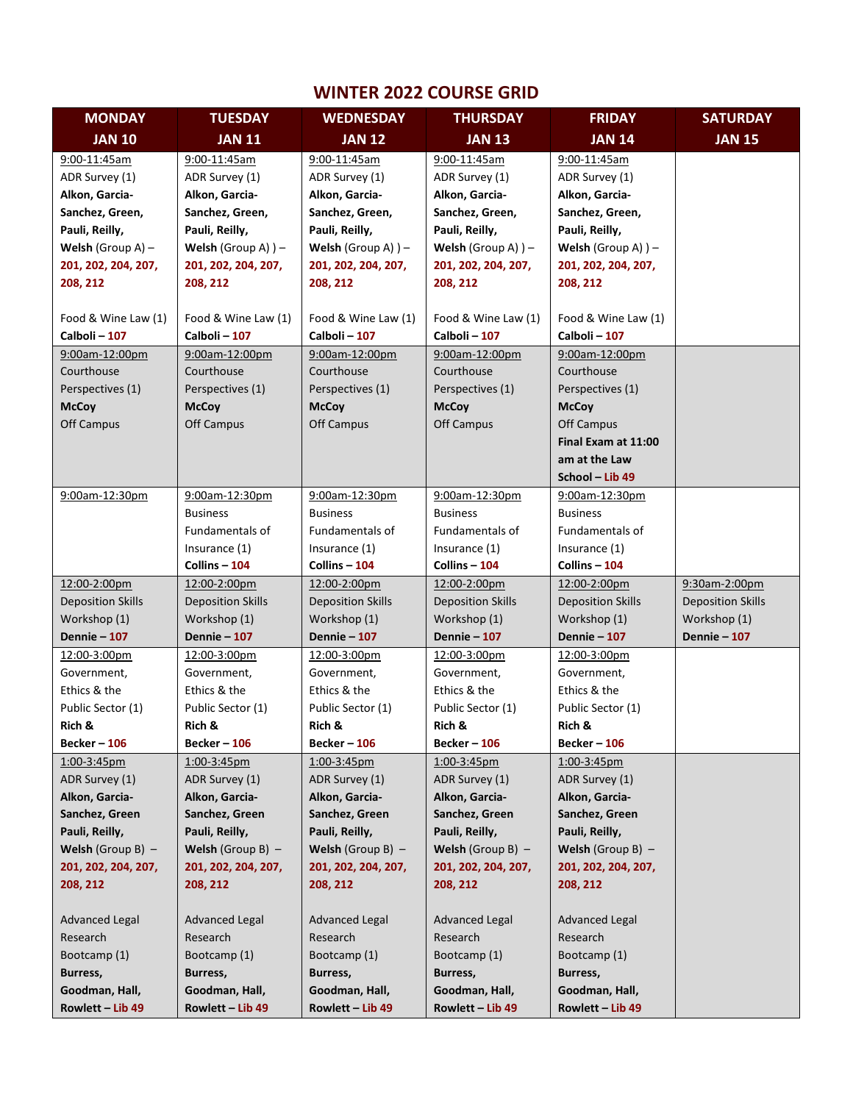## **WINTER 2022 COURSE GRID**

| <b>MONDAY</b>               | <b>TUESDAY</b>               | <b>WEDNESDAY</b>                 | <b>THURSDAY</b>                            | <b>FRIDAY</b>                | <b>SATURDAY</b>          |
|-----------------------------|------------------------------|----------------------------------|--------------------------------------------|------------------------------|--------------------------|
| <b>JAN 10</b>               | <b>JAN 11</b>                | <b>JAN 12</b>                    | <b>JAN 13</b>                              | <b>JAN 14</b>                | <b>JAN 15</b>            |
| 9:00-11:45am                | 9:00-11:45am                 | 9:00-11:45am                     | 9:00-11:45am                               | 9:00-11:45am                 |                          |
| ADR Survey (1)              | ADR Survey (1)               | ADR Survey (1)                   | ADR Survey (1)                             | ADR Survey (1)               |                          |
| Alkon, Garcia-              | Alkon, Garcia-               | Alkon, Garcia-                   | Alkon, Garcia-                             | Alkon, Garcia-               |                          |
| Sanchez, Green,             | Sanchez, Green,              | Sanchez, Green,                  | Sanchez, Green,                            | Sanchez, Green,              |                          |
| Pauli, Reilly,              | Pauli, Reilly,               | Pauli, Reilly,                   | Pauli, Reilly,                             | Pauli, Reilly,               |                          |
| <b>Welsh</b> (Group $A$ ) – | <b>Welsh</b> (Group A) $)$ – | Welsh (Group A) $)$ –            | Welsh (Group A) $)$ –                      | <b>Welsh</b> (Group A) $)$ – |                          |
| 201, 202, 204, 207,         | 201, 202, 204, 207,          | 201, 202, 204, 207,              | 201, 202, 204, 207,                        | 201, 202, 204, 207,          |                          |
| 208, 212                    | 208, 212                     | 208, 212                         | 208, 212                                   | 208, 212                     |                          |
|                             |                              |                                  |                                            |                              |                          |
| Food & Wine Law (1)         | Food & Wine Law (1)          | Food & Wine Law (1)              | Food & Wine Law (1)                        | Food & Wine Law (1)          |                          |
| Calboli-107                 | Calboli-107                  | Calboli-107                      | Calboli-107                                | Calboli - 107                |                          |
| 9:00am-12:00pm              | 9:00am-12:00pm               | 9:00am-12:00pm                   | 9:00am-12:00pm                             | 9:00am-12:00pm               |                          |
| Courthouse                  | Courthouse                   | Courthouse                       | Courthouse                                 | Courthouse                   |                          |
| Perspectives (1)            | Perspectives (1)             | Perspectives (1)                 | Perspectives (1)                           | Perspectives (1)             |                          |
| <b>McCoy</b>                | <b>McCoy</b>                 | <b>McCoy</b>                     | <b>McCoy</b>                               | <b>McCoy</b>                 |                          |
| Off Campus                  | Off Campus                   | <b>Off Campus</b>                | <b>Off Campus</b>                          | Off Campus                   |                          |
|                             |                              |                                  |                                            | Final Exam at 11:00          |                          |
|                             |                              |                                  |                                            | am at the Law                |                          |
|                             |                              |                                  |                                            | School - Lib 49              |                          |
| 9:00am-12:30pm              | 9:00am-12:30pm               | 9:00am-12:30pm                   | 9:00am-12:30pm                             | 9:00am-12:30pm               |                          |
|                             | <b>Business</b>              | <b>Business</b>                  | <b>Business</b>                            | <b>Business</b>              |                          |
|                             | Fundamentals of              | Fundamentals of                  | Fundamentals of                            | Fundamentals of              |                          |
|                             | Insurance (1)                | Insurance (1)                    | Insurance (1)                              | Insurance (1)                |                          |
|                             | Collins - 104                | Collins - 104                    | Collins - 104                              | Collins - 104                |                          |
| 12:00-2:00pm                | 12:00-2:00pm                 | 12:00-2:00pm                     | 12:00-2:00pm                               | 12:00-2:00pm                 | 9:30am-2:00pm            |
| <b>Deposition Skills</b>    | <b>Deposition Skills</b>     | <b>Deposition Skills</b>         | <b>Deposition Skills</b>                   | <b>Deposition Skills</b>     | <b>Deposition Skills</b> |
| Workshop (1)                | Workshop (1)                 | Workshop (1)                     | Workshop (1)                               | Workshop (1)                 | Workshop (1)             |
| <b>Dennie – 107</b>         | <b>Dennie - 107</b>          | <b>Dennie - 107</b>              | <b>Dennie – 107</b>                        | <b>Dennie – 107</b>          | <b>Dennie - 107</b>      |
| 12:00-3:00pm                | 12:00-3:00pm                 | 12:00-3:00pm                     | 12:00-3:00pm                               | 12:00-3:00pm                 |                          |
| Government,                 | Government,                  | Government,                      | Government,                                | Government,                  |                          |
| Ethics & the                | Ethics & the                 | Ethics & the                     | Ethics & the                               | Ethics & the                 |                          |
| Public Sector (1)           | Public Sector (1)            | Public Sector (1)                | Public Sector (1)                          | Public Sector (1)            |                          |
| Rich &                      | Rich &                       | Rich &                           | Rich &                                     | Rich &                       |                          |
| <b>Becker - 106</b>         | Becker – 106                 | Becker – 106                     | Becker – 106                               | Becker – 106                 |                          |
| 1:00-3:45pm                 | 1:00-3:45pm                  | 1:00-3:45pm                      | 1:00-3:45pm                                | 1:00-3:45pm                  |                          |
| ADR Survey (1)              | ADR Survey (1)               | ADR Survey (1)                   | ADR Survey (1)                             | ADR Survey (1)               |                          |
| Alkon, Garcia-              | Alkon, Garcia-               | Alkon, Garcia-                   | Alkon, Garcia-                             | Alkon, Garcia-               |                          |
| Sanchez, Green              | Sanchez, Green               | Sanchez, Green<br>Pauli, Reilly, | Sanchez, Green<br>Pauli, Reilly,           | Sanchez, Green               |                          |
| Pauli, Reilly,              | Pauli, Reilly,               |                                  |                                            | Pauli, Reilly,               |                          |
| <b>Welsh</b> (Group B) $-$  | Welsh (Group B) $-$          | Welsh (Group B) $-$              | Welsh (Group B) $-$<br>201, 202, 204, 207, | Welsh (Group B) $-$          |                          |
| 201, 202, 204, 207,         | 201, 202, 204, 207,          | 201, 202, 204, 207,              |                                            | 201, 202, 204, 207,          |                          |
| 208, 212                    | 208, 212                     | 208, 212                         | 208, 212                                   | 208, 212                     |                          |
| <b>Advanced Legal</b>       | Advanced Legal               | <b>Advanced Legal</b>            | <b>Advanced Legal</b>                      | <b>Advanced Legal</b>        |                          |
| Research                    | Research                     | Research                         | Research                                   | Research                     |                          |
| Bootcamp (1)                | Bootcamp (1)                 | Bootcamp (1)                     | Bootcamp (1)                               | Bootcamp (1)                 |                          |
| Burress,                    | Burress,                     | Burress,                         | Burress,                                   | Burress,                     |                          |
| Goodman, Hall,              | Goodman, Hall,               | Goodman, Hall,                   | Goodman, Hall,                             | Goodman, Hall,               |                          |
| Rowlett - Lib 49            | Rowlett - Lib 49             | Rowlett - Lib 49                 | Rowlett - Lib 49                           | Rowlett - Lib 49             |                          |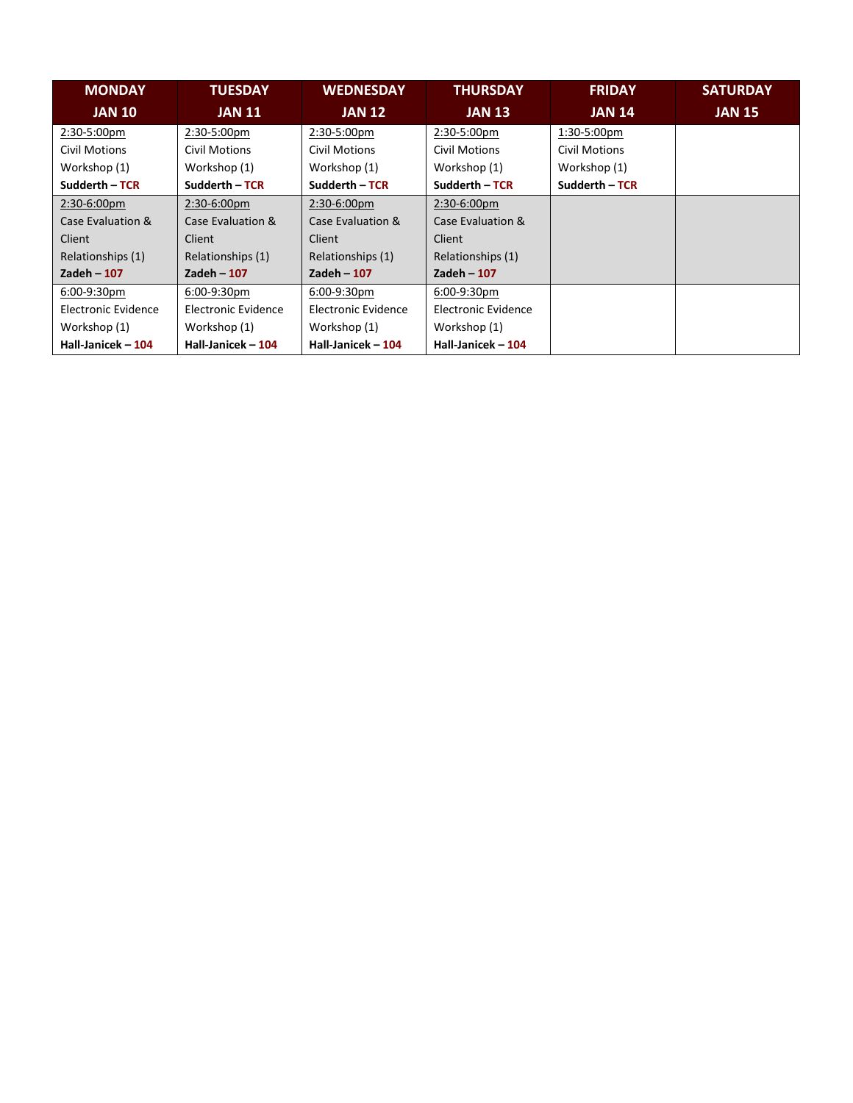| <b>MONDAY</b>       | <b>TUESDAY</b>       | <b>WEDNESDAY</b>    | <b>THURSDAY</b>     | <b>FRIDAY</b>        | <b>SATURDAY</b> |
|---------------------|----------------------|---------------------|---------------------|----------------------|-----------------|
| <b>JAN 10</b>       | <b>JAN 11</b>        | <b>JAN 12</b>       | <b>JAN 13</b>       | <b>JAN 14</b>        | <b>JAN 15</b>   |
| 2:30-5:00pm         | 2:30-5:00pm          | 2:30-5:00pm         | 2:30-5:00pm         | 1:30-5:00pm          |                 |
| Civil Motions       | <b>Civil Motions</b> | Civil Motions       | Civil Motions       | <b>Civil Motions</b> |                 |
| Workshop (1)        | Workshop (1)         | Workshop (1)        | Workshop (1)        | Workshop (1)         |                 |
| Sudderth - TCR      | Sudderth - TCR       | Sudderth – TCR      | Sudderth - TCR      | Sudderth - TCR       |                 |
| $2:30-6:00pm$       | 2:30-6:00pm          | 2:30-6:00pm         | 2:30-6:00pm         |                      |                 |
| Case Evaluation &   | Case Evaluation &    | Case Evaluation &   | Case Evaluation &   |                      |                 |
| Client              | Client               | Client              | Client              |                      |                 |
| Relationships (1)   | Relationships (1)    | Relationships (1)   | Relationships (1)   |                      |                 |
| Zadeh $-107$        | Zadeh $-107$         | Zadeh $-107$        | Zadeh $-107$        |                      |                 |
| 6:00-9:30pm         | 6:00-9:30pm          | 6:00-9:30pm         | 6:00-9:30pm         |                      |                 |
| Electronic Evidence | Electronic Evidence  | Electronic Evidence | Electronic Evidence |                      |                 |
| Workshop (1)        | Workshop (1)         | Workshop (1)        | Workshop (1)        |                      |                 |
| Hall-Janicek - 104  | Hall-Janicek - 104   | Hall-Janicek - 104  | Hall-Janicek - 104  |                      |                 |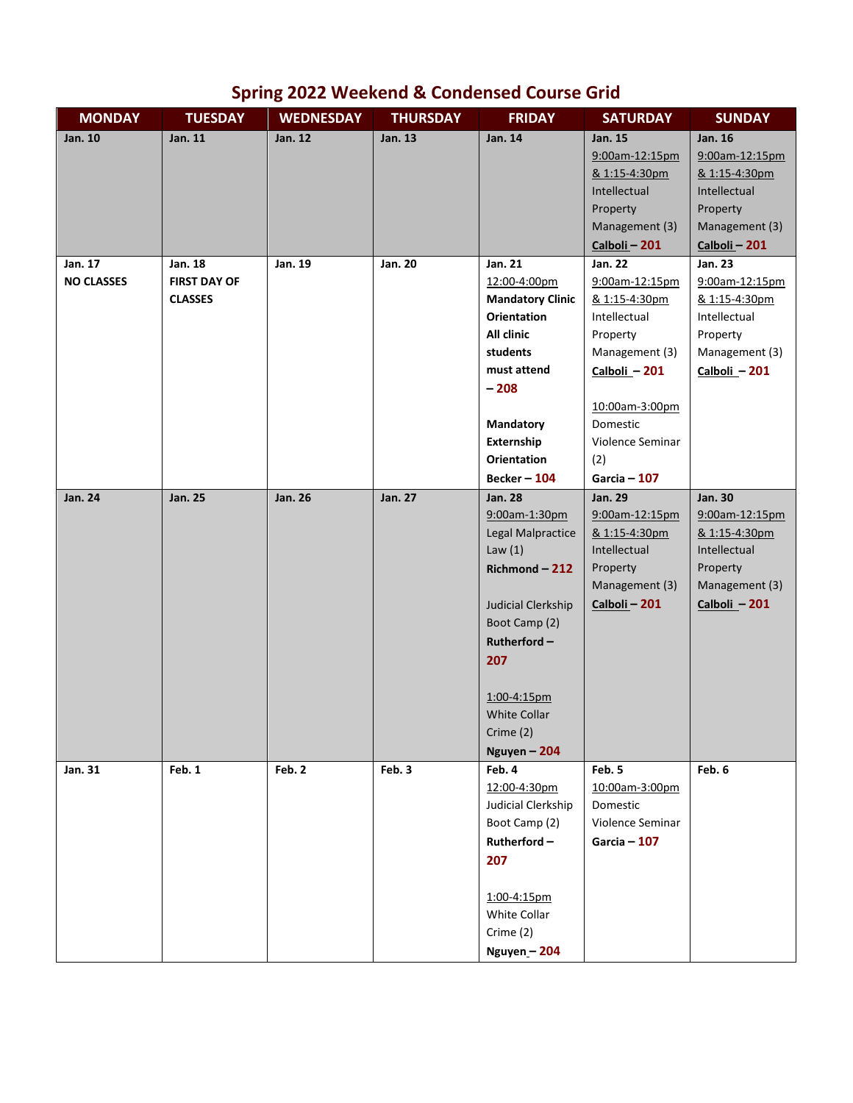## **Spring 2022 Weekend & Condensed Course Grid**

| <b>MONDAY</b>                | <b>TUESDAY</b>                 | <b>WEDNESDAY</b> | <b>THURSDAY</b> | <b>FRIDAY</b>                           | <b>SATURDAY</b>                 | <b>SUNDAY</b>             |
|------------------------------|--------------------------------|------------------|-----------------|-----------------------------------------|---------------------------------|---------------------------|
| Jan. 10                      | Jan. 11                        | Jan. 12          | Jan. 13         | Jan. 14                                 | Jan. 15                         | Jan. 16                   |
|                              |                                |                  |                 |                                         | 9:00am-12:15pm                  | 9:00am-12:15pm            |
|                              |                                |                  |                 |                                         | & 1:15-4:30pm                   | & 1:15-4:30pm             |
|                              |                                |                  |                 |                                         | Intellectual                    | Intellectual              |
|                              |                                |                  |                 |                                         | Property                        | Property                  |
|                              |                                |                  |                 |                                         | Management (3)                  | Management (3)            |
|                              |                                |                  |                 |                                         | Calboli - 201                   | Calboli - 201             |
| Jan. 17<br><b>NO CLASSES</b> | Jan. 18<br><b>FIRST DAY OF</b> | Jan. 19          | Jan. 20         | Jan. 21                                 | <b>Jan. 22</b>                  | Jan. 23<br>9:00am-12:15pm |
|                              | <b>CLASSES</b>                 |                  |                 | 12:00-4:00pm<br><b>Mandatory Clinic</b> | 9:00am-12:15pm<br>& 1:15-4:30pm | & 1:15-4:30pm             |
|                              |                                |                  |                 | <b>Orientation</b>                      | Intellectual                    | Intellectual              |
|                              |                                |                  |                 | All clinic                              | Property                        | Property                  |
|                              |                                |                  |                 | students                                | Management (3)                  | Management (3)            |
|                              |                                |                  |                 | must attend                             | Calboli - 201                   | Calboli - 201             |
|                              |                                |                  |                 | $-208$                                  |                                 |                           |
|                              |                                |                  |                 |                                         | 10:00am-3:00pm                  |                           |
|                              |                                |                  |                 | Mandatory                               | Domestic                        |                           |
|                              |                                |                  |                 | Externship                              | Violence Seminar                |                           |
|                              |                                |                  |                 | <b>Orientation</b>                      | (2)                             |                           |
|                              |                                |                  |                 | <b>Becker - 104</b>                     | Garcia $-107$                   |                           |
| <b>Jan. 24</b>               | <b>Jan. 25</b>                 | <b>Jan. 26</b>   | Jan. 27         | <b>Jan. 28</b>                          | <b>Jan. 29</b>                  | <b>Jan. 30</b>            |
|                              |                                |                  |                 | 9:00am-1:30pm                           | 9:00am-12:15pm                  | 9:00am-12:15pm            |
|                              |                                |                  |                 | Legal Malpractice                       | & 1:15-4:30pm                   | & 1:15-4:30pm             |
|                              |                                |                  |                 | Law $(1)$                               | Intellectual                    | Intellectual              |
|                              |                                |                  |                 | Richmond-212                            | Property                        | Property                  |
|                              |                                |                  |                 |                                         | Management (3)                  | Management (3)            |
|                              |                                |                  |                 | Judicial Clerkship                      | Calboli - 201                   | Calboli - 201             |
|                              |                                |                  |                 | Boot Camp (2)                           |                                 |                           |
|                              |                                |                  |                 | $Rutherford -$                          |                                 |                           |
|                              |                                |                  |                 | 207                                     |                                 |                           |
|                              |                                |                  |                 |                                         |                                 |                           |
|                              |                                |                  |                 | 1:00-4:15pm                             |                                 |                           |
|                              |                                |                  |                 | <b>White Collar</b>                     |                                 |                           |
|                              |                                |                  |                 | Crime (2)                               |                                 |                           |
|                              |                                |                  |                 | Nguyen - 204                            |                                 |                           |
| Jan. 31                      | Feb. 1                         | Feb. 2           | Feb. 3          | Feb. 4<br>12:00-4:30pm                  | Feb. 5<br>10:00am-3:00pm        | Feb. 6                    |
|                              |                                |                  |                 | Judicial Clerkship                      | Domestic                        |                           |
|                              |                                |                  |                 | Boot Camp (2)                           | Violence Seminar                |                           |
|                              |                                |                  |                 | $Rutherford -$                          | Garcia $-107$                   |                           |
|                              |                                |                  |                 | 207                                     |                                 |                           |
|                              |                                |                  |                 |                                         |                                 |                           |
|                              |                                |                  |                 | 1:00-4:15pm                             |                                 |                           |
|                              |                                |                  |                 | White Collar                            |                                 |                           |
|                              |                                |                  |                 | Crime (2)                               |                                 |                           |
|                              |                                |                  |                 | Nguyen-204                              |                                 |                           |
|                              |                                |                  |                 |                                         |                                 |                           |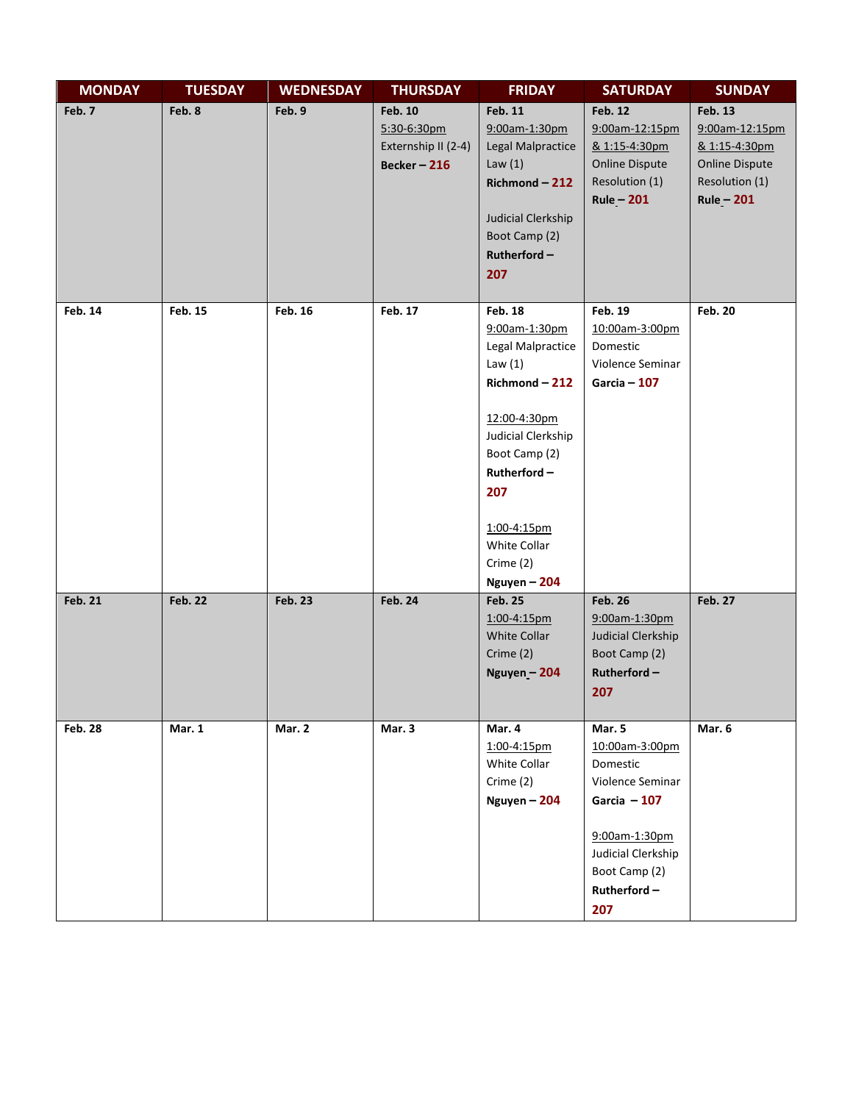| <b>MONDAY</b>  | <b>TUESDAY</b> | <b>WEDNESDAY</b> | <b>THURSDAY</b>                                                       | <b>FRIDAY</b>                                                                                                                                                                                                                 | <b>SATURDAY</b>                                                                                                                                            | <b>SUNDAY</b>                                                                                                |
|----------------|----------------|------------------|-----------------------------------------------------------------------|-------------------------------------------------------------------------------------------------------------------------------------------------------------------------------------------------------------------------------|------------------------------------------------------------------------------------------------------------------------------------------------------------|--------------------------------------------------------------------------------------------------------------|
| Feb. 7         | Feb. 8         | Feb. 9           | <b>Feb. 10</b><br>5:30-6:30pm<br>Externship II (2-4)<br>Becker $-216$ | Feb. 11<br>9:00am-1:30pm<br>Legal Malpractice<br>Law $(1)$<br>$Richard - 212$<br>Judicial Clerkship<br>Boot Camp (2)<br>Rutherford-<br>207                                                                                    | <b>Feb. 12</b><br>9:00am-12:15pm<br>& 1:15-4:30pm<br><b>Online Dispute</b><br>Resolution (1)<br>$Rule - 201$                                               | <b>Feb. 13</b><br>9:00am-12:15pm<br>& 1:15-4:30pm<br><b>Online Dispute</b><br>Resolution (1)<br>$Rule - 201$ |
| Feb. 14        | Feb. 15        | Feb. 16          | Feb. 17                                                               | <b>Feb. 18</b><br>9:00am-1:30pm<br>Legal Malpractice<br>Law $(1)$<br>$Richard - 212$<br>12:00-4:30pm<br>Judicial Clerkship<br>Boot Camp (2)<br>Rutherford-<br>207<br>1:00-4:15pm<br>White Collar<br>Crime (2)<br>Nguyen - 204 | Feb. 19<br>10:00am-3:00pm<br>Domestic<br>Violence Seminar<br>Garcia $-107$                                                                                 | <b>Feb. 20</b>                                                                                               |
| <b>Feb. 21</b> | <b>Feb. 22</b> | <b>Feb. 23</b>   | <b>Feb. 24</b>                                                        | <b>Feb. 25</b><br>1:00-4:15pm<br>White Collar<br>Crime (2)<br>Nguyen - 204                                                                                                                                                    | <b>Feb. 26</b><br>9:00am-1:30pm<br>Judicial Clerkship<br>Boot Camp (2)<br>Rutherford-<br>207                                                               | <b>Feb. 27</b>                                                                                               |
| <b>Feb. 28</b> | Mar. 1         | Mar. 2           | Mar. 3                                                                | Mar. 4<br>1:00-4:15pm<br>White Collar<br>Crime (2)<br>Nguyen - 204                                                                                                                                                            | Mar. 5<br>10:00am-3:00pm<br>Domestic<br>Violence Seminar<br>Garcia $-107$<br>9:00am-1:30pm<br>Judicial Clerkship<br>Boot Camp (2)<br>$Rutherford -$<br>207 | Mar. 6                                                                                                       |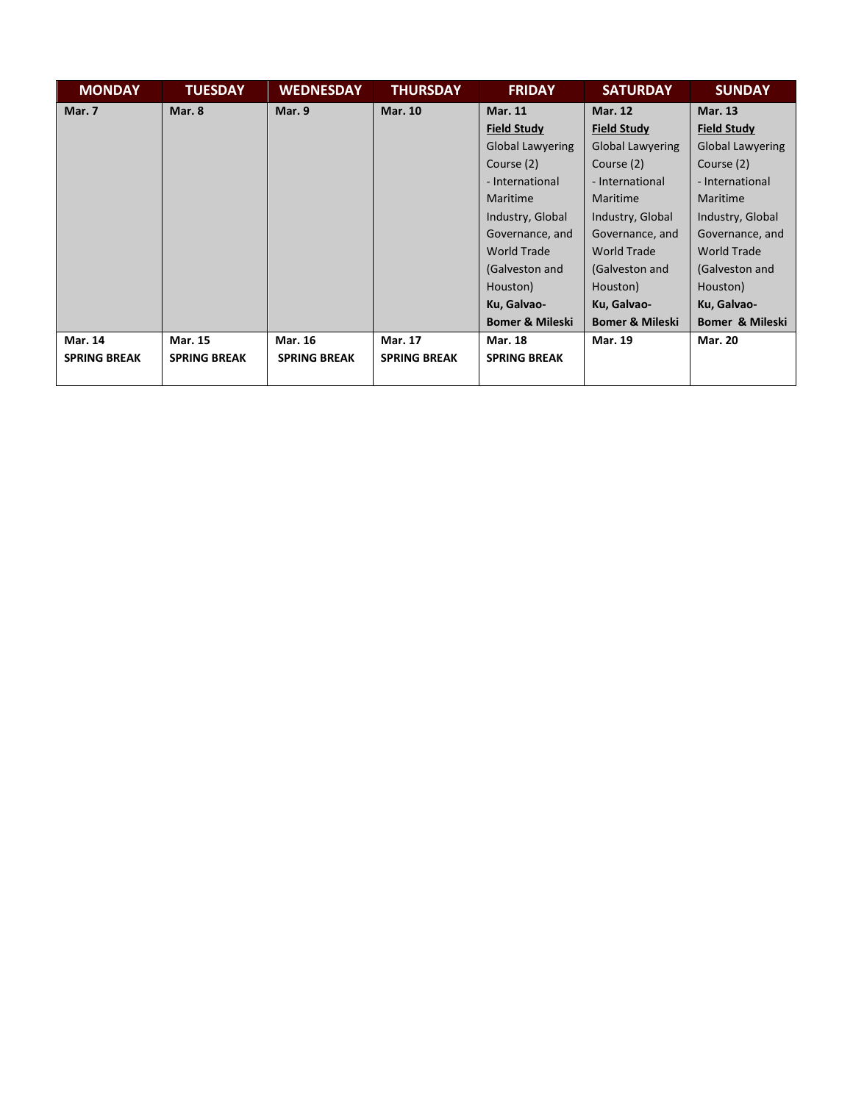| <b>MONDAY</b>       | <b>TUESDAY</b>      | <b>WEDNESDAY</b>    | <b>THURSDAY</b>     | <b>FRIDAY</b>              | <b>SATURDAY</b>            | <b>SUNDAY</b>           |
|---------------------|---------------------|---------------------|---------------------|----------------------------|----------------------------|-------------------------|
| Mar. 7              | Mar. 8              | Mar. 9              | <b>Mar. 10</b>      | <b>Mar. 11</b>             | <b>Mar. 12</b>             | <b>Mar. 13</b>          |
|                     |                     |                     |                     | <b>Field Study</b>         | <b>Field Study</b>         | <b>Field Study</b>      |
|                     |                     |                     |                     | <b>Global Lawyering</b>    | <b>Global Lawyering</b>    | <b>Global Lawyering</b> |
|                     |                     |                     |                     | Course (2)                 | Course (2)                 | Course (2)              |
|                     |                     |                     |                     | - International            | - International            | - International         |
|                     |                     |                     |                     | Maritime                   | <b>Maritime</b>            | Maritime                |
|                     |                     |                     |                     | Industry, Global           | Industry, Global           | Industry, Global        |
|                     |                     |                     |                     | Governance, and            | Governance, and            | Governance, and         |
|                     |                     |                     |                     | <b>World Trade</b>         | <b>World Trade</b>         | <b>World Trade</b>      |
|                     |                     |                     |                     | (Galveston and             | (Galveston and             | (Galveston and          |
|                     |                     |                     |                     | Houston)                   | Houston)                   | Houston)                |
|                     |                     |                     |                     | Ku, Galvao-                | Ku, Galvao-                | Ku, Galvao-             |
|                     |                     |                     |                     | <b>Bomer &amp; Mileski</b> | <b>Bomer &amp; Mileski</b> | Bomer & Mileski         |
| <b>Mar. 14</b>      | <b>Mar. 15</b>      | Mar. 16             | <b>Mar. 17</b>      | <b>Mar. 18</b>             | <b>Mar. 19</b>             | <b>Mar. 20</b>          |
| <b>SPRING BREAK</b> | <b>SPRING BREAK</b> | <b>SPRING BREAK</b> | <b>SPRING BREAK</b> | <b>SPRING BREAK</b>        |                            |                         |
|                     |                     |                     |                     |                            |                            |                         |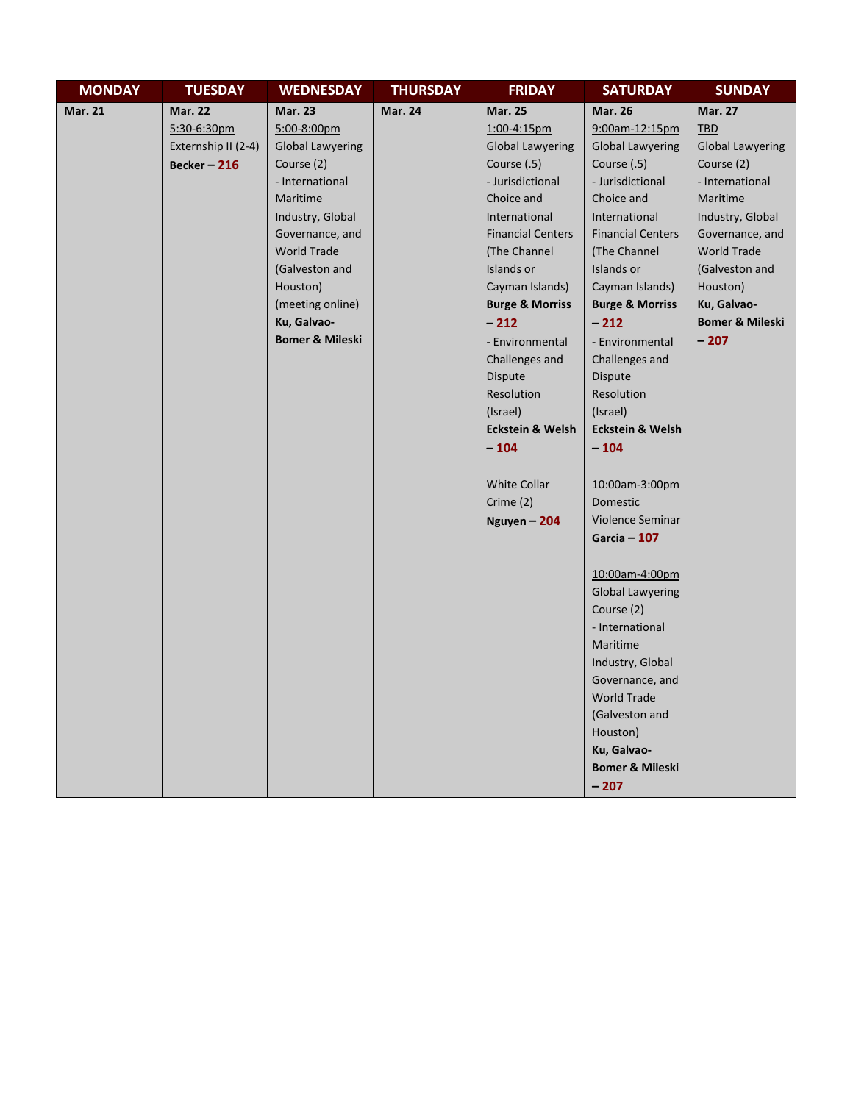| <b>MONDAY</b>  | <b>TUESDAY</b>      | <b>WEDNESDAY</b>           | <b>THURSDAY</b> | <b>FRIDAY</b>               | <b>SATURDAY</b>             | <b>SUNDAY</b>              |
|----------------|---------------------|----------------------------|-----------------|-----------------------------|-----------------------------|----------------------------|
| <b>Mar. 21</b> | <b>Mar. 22</b>      | <b>Mar. 23</b>             | <b>Mar. 24</b>  | <b>Mar. 25</b>              | <b>Mar. 26</b>              | <b>Mar. 27</b>             |
|                | 5:30-6:30pm         | 5:00-8:00pm                |                 | 1:00-4:15pm                 | 9:00am-12:15pm              | <b>TBD</b>                 |
|                | Externship II (2-4) | <b>Global Lawyering</b>    |                 | <b>Global Lawyering</b>     | <b>Global Lawyering</b>     | <b>Global Lawyering</b>    |
|                | Becker-216          | Course (2)                 |                 | Course (.5)                 | Course (.5)                 | Course (2)                 |
|                |                     | - International            |                 | - Jurisdictional            | - Jurisdictional            | - International            |
|                |                     | Maritime                   |                 | Choice and                  | Choice and                  | Maritime                   |
|                |                     | Industry, Global           |                 | International               | International               | Industry, Global           |
|                |                     | Governance, and            |                 | <b>Financial Centers</b>    | <b>Financial Centers</b>    | Governance, and            |
|                |                     | <b>World Trade</b>         |                 | (The Channel                | (The Channel                | <b>World Trade</b>         |
|                |                     | (Galveston and             |                 | Islands or                  | Islands or                  | (Galveston and             |
|                |                     | Houston)                   |                 | Cayman Islands)             | Cayman Islands)             | Houston)                   |
|                |                     | (meeting online)           |                 | <b>Burge &amp; Morriss</b>  | <b>Burge &amp; Morriss</b>  | Ku, Galvao-                |
|                |                     | Ku, Galvao-                |                 | $-212$                      | $-212$                      | <b>Bomer &amp; Mileski</b> |
|                |                     | <b>Bomer &amp; Mileski</b> |                 | - Environmental             | - Environmental             | $-207$                     |
|                |                     |                            |                 | Challenges and              | Challenges and              |                            |
|                |                     |                            |                 | Dispute                     | Dispute                     |                            |
|                |                     |                            |                 | Resolution                  | Resolution                  |                            |
|                |                     |                            |                 | (Israel)                    | (Israel)                    |                            |
|                |                     |                            |                 | <b>Eckstein &amp; Welsh</b> | <b>Eckstein &amp; Welsh</b> |                            |
|                |                     |                            |                 | $-104$                      | $-104$                      |                            |
|                |                     |                            |                 |                             |                             |                            |
|                |                     |                            |                 | <b>White Collar</b>         | 10:00am-3:00pm              |                            |
|                |                     |                            |                 | Crime $(2)$                 | Domestic                    |                            |
|                |                     |                            |                 | Nguyen $-204$               | Violence Seminar            |                            |
|                |                     |                            |                 |                             | Garcia $-107$               |                            |
|                |                     |                            |                 |                             |                             |                            |
|                |                     |                            |                 |                             | 10:00am-4:00pm              |                            |
|                |                     |                            |                 |                             | <b>Global Lawyering</b>     |                            |
|                |                     |                            |                 |                             | Course (2)                  |                            |
|                |                     |                            |                 |                             | - International             |                            |
|                |                     |                            |                 |                             | Maritime                    |                            |
|                |                     |                            |                 |                             | Industry, Global            |                            |
|                |                     |                            |                 |                             | Governance, and             |                            |
|                |                     |                            |                 |                             | <b>World Trade</b>          |                            |
|                |                     |                            |                 |                             | (Galveston and              |                            |
|                |                     |                            |                 |                             | Houston)                    |                            |
|                |                     |                            |                 |                             | Ku, Galvao-                 |                            |
|                |                     |                            |                 |                             | <b>Bomer &amp; Mileski</b>  |                            |
|                |                     |                            |                 |                             | $-207$                      |                            |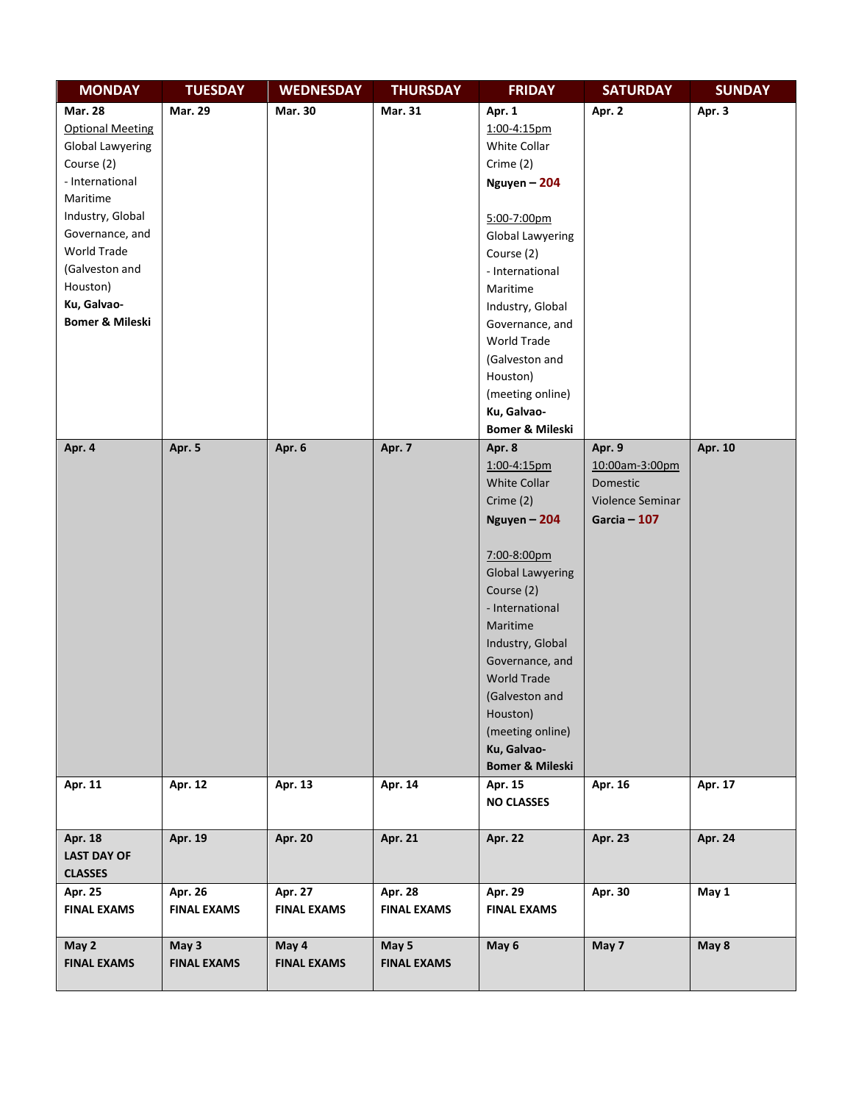| <b>MONDAY</b>              | <b>TUESDAY</b>     | <b>WEDNESDAY</b>   | <b>THURSDAY</b>    | <b>FRIDAY</b>              | <b>SATURDAY</b>  | <b>SUNDAY</b>  |
|----------------------------|--------------------|--------------------|--------------------|----------------------------|------------------|----------------|
| <b>Mar. 28</b>             | <b>Mar. 29</b>     | Mar. 30            | Mar. 31            | Apr. 1                     | Apr. 2           | Apr. 3         |
| <b>Optional Meeting</b>    |                    |                    |                    | 1:00-4:15pm                |                  |                |
| <b>Global Lawyering</b>    |                    |                    |                    | White Collar               |                  |                |
| Course (2)                 |                    |                    |                    | Crime (2)                  |                  |                |
| - International            |                    |                    |                    | Nguyen - 204               |                  |                |
| Maritime                   |                    |                    |                    |                            |                  |                |
| Industry, Global           |                    |                    |                    | 5:00-7:00pm                |                  |                |
| Governance, and            |                    |                    |                    | <b>Global Lawyering</b>    |                  |                |
| World Trade                |                    |                    |                    | Course (2)                 |                  |                |
| (Galveston and             |                    |                    |                    | - International            |                  |                |
| Houston)                   |                    |                    |                    | Maritime                   |                  |                |
| Ku, Galvao-                |                    |                    |                    | Industry, Global           |                  |                |
| <b>Bomer &amp; Mileski</b> |                    |                    |                    | Governance, and            |                  |                |
|                            |                    |                    |                    | World Trade                |                  |                |
|                            |                    |                    |                    | (Galveston and             |                  |                |
|                            |                    |                    |                    | Houston)                   |                  |                |
|                            |                    |                    |                    | (meeting online)           |                  |                |
|                            |                    |                    |                    | Ku, Galvao-                |                  |                |
|                            |                    |                    |                    | <b>Bomer &amp; Mileski</b> |                  |                |
| Apr. 4                     | Apr. 5             | Apr. 6             | Apr. 7             | Apr. 8                     | Apr. 9           | Apr. 10        |
|                            |                    |                    |                    | $1:00 - 4:15$ pm           | 10:00am-3:00pm   |                |
|                            |                    |                    |                    | White Collar               | Domestic         |                |
|                            |                    |                    |                    | Crime (2)                  | Violence Seminar |                |
|                            |                    |                    |                    | Nguyen - 204               | Garcia $-107$    |                |
|                            |                    |                    |                    |                            |                  |                |
|                            |                    |                    |                    | 7:00-8:00pm                |                  |                |
|                            |                    |                    |                    | <b>Global Lawyering</b>    |                  |                |
|                            |                    |                    |                    | Course (2)                 |                  |                |
|                            |                    |                    |                    | - International            |                  |                |
|                            |                    |                    |                    | Maritime                   |                  |                |
|                            |                    |                    |                    | Industry, Global           |                  |                |
|                            |                    |                    |                    | Governance, and            |                  |                |
|                            |                    |                    |                    | <b>World Trade</b>         |                  |                |
|                            |                    |                    |                    | (Galveston and             |                  |                |
|                            |                    |                    |                    | Houston)                   |                  |                |
|                            |                    |                    |                    | (meeting online)           |                  |                |
|                            |                    |                    |                    | Ku, Galvao-                |                  |                |
|                            |                    |                    |                    | <b>Bomer &amp; Mileski</b> |                  |                |
| Apr. 11                    | Apr. 12            | Apr. 13            | Apr. 14            | Apr. 15                    | Apr. 16          | Apr. 17        |
|                            |                    |                    |                    | <b>NO CLASSES</b>          |                  |                |
|                            |                    |                    |                    |                            |                  |                |
| Apr. 18                    | Apr. 19            | <b>Apr. 20</b>     | Apr. 21            | <b>Apr. 22</b>             | Apr. 23          | <b>Apr. 24</b> |
| <b>LAST DAY OF</b>         |                    |                    |                    |                            |                  |                |
| <b>CLASSES</b>             |                    |                    |                    |                            |                  |                |
| Apr. 25                    | Apr. 26            | Apr. 27            | <b>Apr. 28</b>     | Apr. 29                    | Apr. 30          | May 1          |
| <b>FINAL EXAMS</b>         | <b>FINAL EXAMS</b> | <b>FINAL EXAMS</b> | <b>FINAL EXAMS</b> | <b>FINAL EXAMS</b>         |                  |                |
|                            |                    |                    |                    |                            |                  |                |
| May 2                      | May 3              | May 4              | May 5              | May 6                      | May 7            | May 8          |
| <b>FINAL EXAMS</b>         | <b>FINAL EXAMS</b> | <b>FINAL EXAMS</b> | <b>FINAL EXAMS</b> |                            |                  |                |
|                            |                    |                    |                    |                            |                  |                |